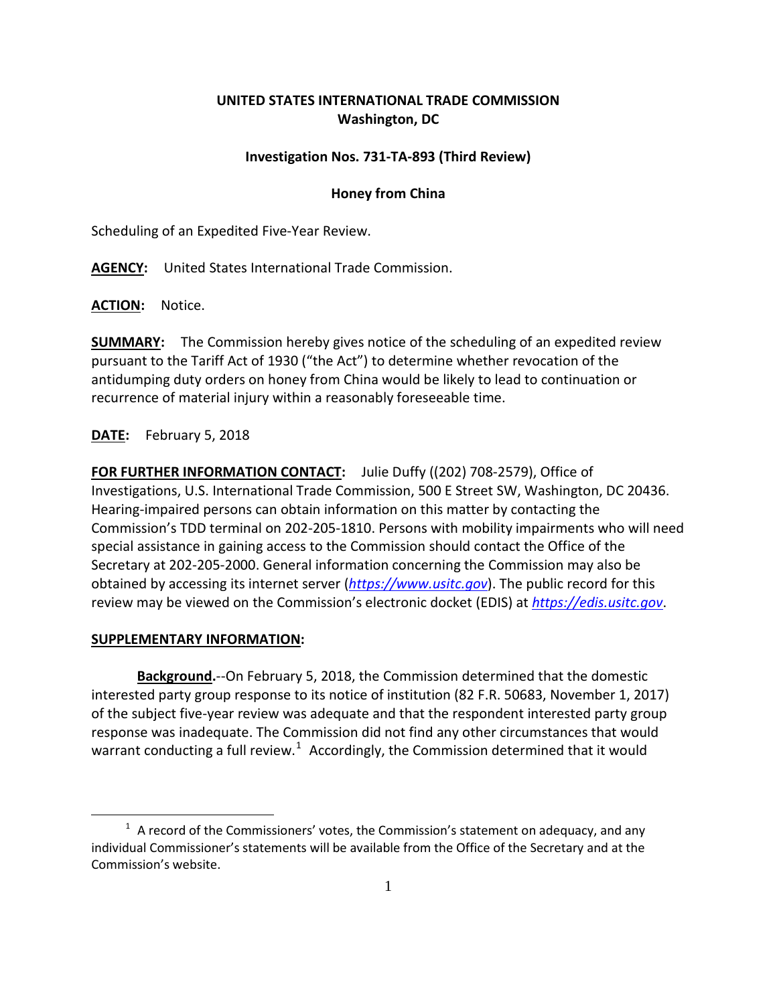## **UNITED STATES INTERNATIONAL TRADE COMMISSION Washington, DC**

## **Investigation Nos. 731-TA-893 (Third Review)**

## **Honey from China**

Scheduling of an Expedited Five-Year Review.

**AGENCY:** United States International Trade Commission.

**ACTION:** Notice.

**SUMMARY:** The Commission hereby gives notice of the scheduling of an expedited review pursuant to the Tariff Act of 1930 ("the Act") to determine whether revocation of the antidumping duty orders on honey from China would be likely to lead to continuation or recurrence of material injury within a reasonably foreseeable time.

**DATE:** February 5, 2018

**FOR FURTHER INFORMATION CONTACT:** Julie Duffy ((202) 708-2579), Office of Investigations, U.S. International Trade Commission, 500 E Street SW, Washington, DC 20436. Hearing-impaired persons can obtain information on this matter by contacting the Commission's TDD terminal on 202-205-1810. Persons with mobility impairments who will need special assistance in gaining access to the Commission should contact the Office of the Secretary at 202-205-2000. General information concerning the Commission may also be obtained by accessing its internet server (*[https://www.usitc.gov](https://www.usitc.gov/)*). The public record for this review may be viewed on the Commission's electronic docket (EDIS) at *[https://edis.usitc.gov](https://edis.usitc.gov/)*.

## **SUPPLEMENTARY INFORMATION:**

 $\overline{a}$ 

**Background.**--On February 5, 2018, the Commission determined that the domestic interested party group response to its notice of institution (82 F.R. 50683, November 1, 2017) of the subject five-year review was adequate and that the respondent interested party group response was inadequate. The Commission did not find any other circumstances that would warrant conducting a full review.<sup>[1](#page-0-0)</sup> Accordingly, the Commission determined that it would

<span id="page-0-0"></span> $1$  A record of the Commissioners' votes, the Commission's statement on adequacy, and any individual Commissioner's statements will be available from the Office of the Secretary and at the Commission's website.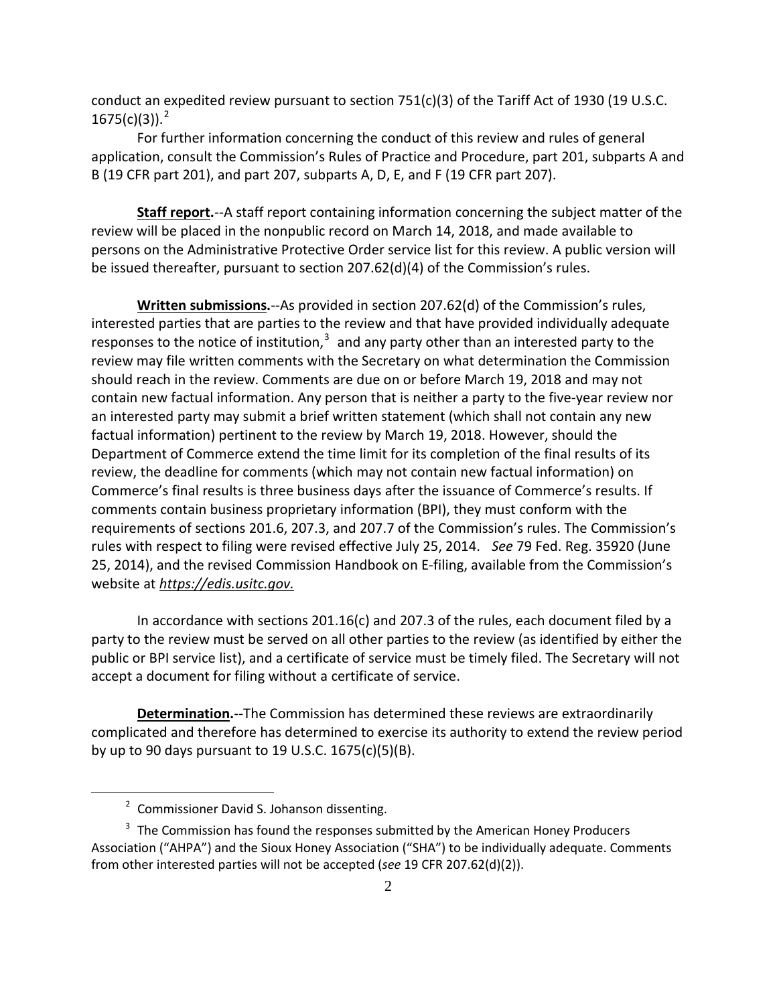conduct an expedited review pursuant to section  $751(c)(3)$  of the Tariff Act of 1930 (19 U.S.C.  $1675(c)(3)$ ).<sup>[2](#page-1-0)</sup>

For further information concerning the conduct of this review and rules of general application, consult the Commission's Rules of Practice and Procedure, part 201, subparts A and B (19 CFR part 201), and part 207, subparts A, D, E, and F (19 CFR part 207).

**Staff report.**--A staff report containing information concerning the subject matter of the review will be placed in the nonpublic record on March 14, 2018, and made available to persons on the Administrative Protective Order service list for this review. A public version will be issued thereafter, pursuant to section 207.62(d)(4) of the Commission's rules.

**Written submissions.**--As provided in section 207.62(d) of the Commission's rules, interested parties that are parties to the review and that have provided individually adequate responses to the notice of institution, $3$  and any party other than an interested party to the review may file written comments with the Secretary on what determination the Commission should reach in the review. Comments are due on or before March 19, 2018 and may not contain new factual information. Any person that is neither a party to the five-year review nor an interested party may submit a brief written statement (which shall not contain any new factual information) pertinent to the review by March 19, 2018. However, should the Department of Commerce extend the time limit for its completion of the final results of its review, the deadline for comments (which may not contain new factual information) on Commerce's final results is three business days after the issuance of Commerce's results. If comments contain business proprietary information (BPI), they must conform with the requirements of sections 201.6, 207.3, and 207.7 of the Commission's rules. The Commission's rules with respect to filing were revised effective July 25, 2014. *See* 79 Fed. Reg. 35920 (June 25, 2014), and the revised Commission Handbook on E-filing, available from the Commission's website at *[https://edis.usitc.gov.](https://edis.usitc.gov/)*

In accordance with sections 201.16(c) and 207.3 of the rules, each document filed by a party to the review must be served on all other parties to the review (as identified by either the public or BPI service list), and a certificate of service must be timely filed. The Secretary will not accept a document for filing without a certificate of service.

**Determination.**--The Commission has determined these reviews are extraordinarily complicated and therefore has determined to exercise its authority to extend the review period by up to 90 days pursuant to 19 U.S.C. 1675(c)(5)(B).

 $\overline{a}$ 

<sup>&</sup>lt;sup>2</sup> Commissioner David S. Johanson dissenting.

<span id="page-1-1"></span><span id="page-1-0"></span> $3$  The Commission has found the responses submitted by the American Honey Producers Association ("AHPA") and the Sioux Honey Association ("SHA") to be individually adequate. Comments from other interested parties will not be accepted (*see* 19 CFR 207.62(d)(2)).